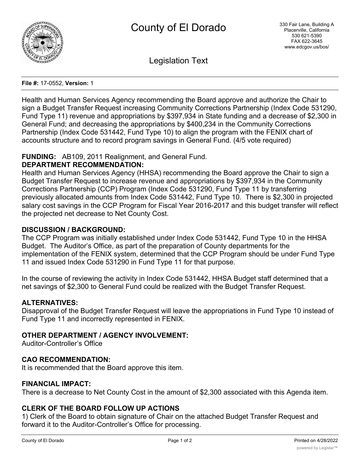

Legislation Text

#### **File #:** 17-0552, **Version:** 1

Health and Human Services Agency recommending the Board approve and authorize the Chair to sign a Budget Transfer Request increasing Community Corrections Partnership (Index Code 531290, Fund Type 11) revenue and appropriations by \$397,934 in State funding and a decrease of \$2,300 in General Fund; and decreasing the appropriations by \$400,234 in the Community Corrections Partnership (Index Code 531442, Fund Type 10) to align the program with the FENIX chart of accounts structure and to record program savings in General Fund. (4/5 vote required)

## **FUNDING:** AB109, 2011 Realignment, and General Fund.

## **DEPARTMENT RECOMMENDATION:**

Health and Human Services Agency (HHSA) recommending the Board approve the Chair to sign a Budget Transfer Request to increase revenue and appropriations by \$397,934 in the Community Corrections Partnership (CCP) Program (Index Code 531290, Fund Type 11 by transferring previously allocated amounts from Index Code 531442, Fund Type 10. There is \$2,300 in projected salary cost savings in the CCP Program for Fiscal Year 2016-2017 and this budget transfer will reflect the projected net decrease to Net County Cost.

#### **DISCUSSION / BACKGROUND:**

The CCP Program was initially established under Index Code 531442, Fund Type 10 in the HHSA Budget. The Auditor's Office, as part of the preparation of County departments for the implementation of the FENIX system, determined that the CCP Program should be under Fund Type 11 and issued Index Code 531290 in Fund Type 11 for that purpose.

In the course of reviewing the activity in Index Code 531442, HHSA Budget staff determined that a net savings of \$2,300 to General Fund could be realized with the Budget Transfer Request.

## **ALTERNATIVES:**

Disapproval of the Budget Transfer Request will leave the appropriations in Fund Type 10 instead of Fund Type 11 and incorrectly represented in FENIX.

## **OTHER DEPARTMENT / AGENCY INVOLVEMENT:**

Auditor-Controller's Office

## **CAO RECOMMENDATION:**

It is recommended that the Board approve this item.

#### **FINANCIAL IMPACT:**

There is a decrease to Net County Cost in the amount of \$2,300 associated with this Agenda item.

## **CLERK OF THE BOARD FOLLOW UP ACTIONS**

1) Clerk of the Board to obtain signature of Chair on the attached Budget Transfer Request and forward it to the Auditor-Controller's Office for processing.